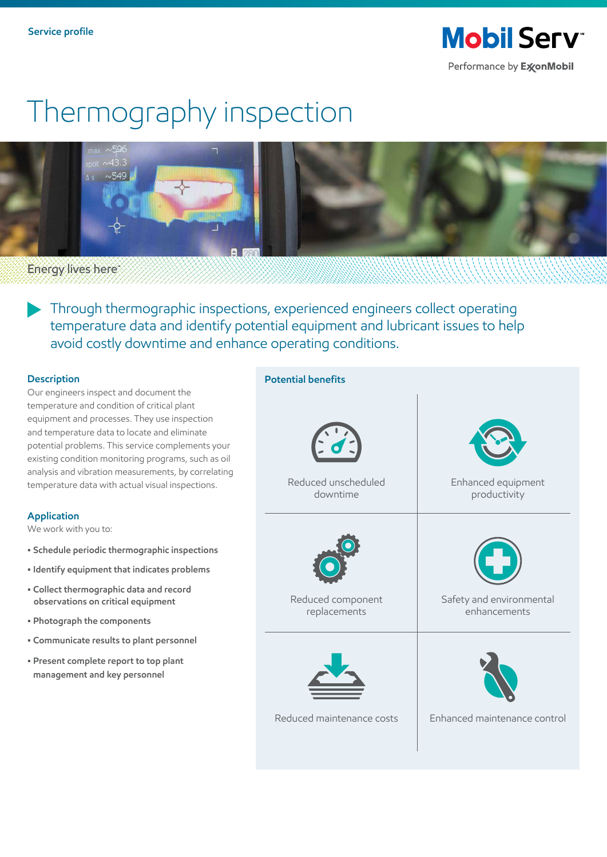**Mobil Serv** Performance by ExxonMobil

# Thermography inspection



**Energy lives here** 

Through thermographic inspections, experienced engineers collect operating temperature data and identify potential equipment and lubricant issues to help avoid costly downtime and enhance operating conditions.

### **Description**

Our engineers inspect and document the temperature and condition of critical plant equipment and processes. They use inspection and temperature data to locate and eliminate potential problems. This service complements your existing condition monitoring programs, such as oil analysis and vibration measurements, by correlating temperature data with actual visual inspections.

### **Application**

We work with you to:

- **Schedule periodic thermographic inspections**
- **Identify equipment that indicates problems**
- **Collect thermographic data and record observations on critical equipment**
- **Photograph the components**
- **Communicate results to plant personnel**
- **Present complete report to top plant management and key personnel**